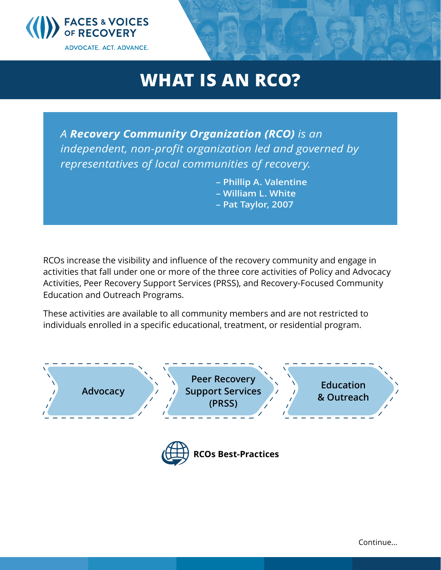

## **WHAT IS AN RCO?**

*A Recovery Community Organization (RCO) is an independent, non-profit organization led and governed by representatives of local communities of recovery.* 

> **– Phillip A. Valentine – William L. White**

**– Pat Taylor, 2007**

RCOs increase the visibility and influence of the recovery community and engage in activities that fall under one or more of the three core activities of Policy and Advocacy Activities, Peer Recovery Support Services (PRSS), and Recovery-Focused Community Education and Outreach Programs.

These activities are available to all community members and are not restricted to individuals enrolled in a specific educational, treatment, or residential program.